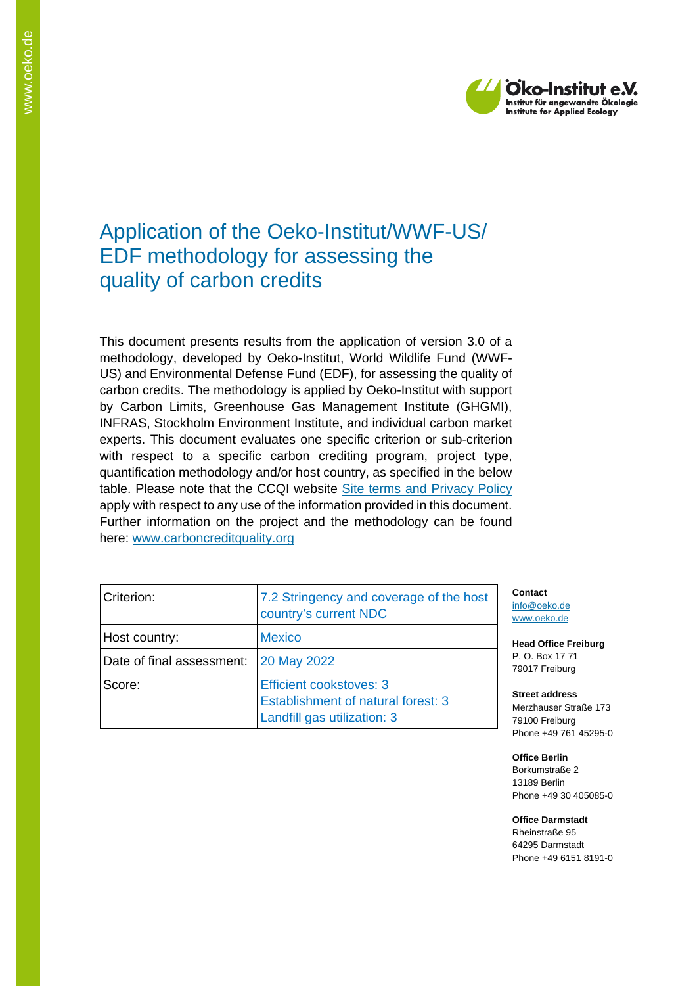

## Application of the Oeko-Institut/WWF-US/ EDF methodology for assessing the quality of carbon credits

This document presents results from the application of version 3.0 of a methodology, developed by Oeko-Institut, World Wildlife Fund (WWF-US) and Environmental Defense Fund (EDF), for assessing the quality of carbon credits. The methodology is applied by Oeko-Institut with support by Carbon Limits, Greenhouse Gas Management Institute (GHGMI), INFRAS, Stockholm Environment Institute, and individual carbon market experts. This document evaluates one specific criterion or sub-criterion with respect to a specific carbon crediting program, project type, quantification methodology and/or host country, as specified in the below table. Please note that the CCQI website [Site terms and Privacy Policy](https://carboncreditquality.org/terms.html) apply with respect to any use of the information provided in this document. Further information on the project and the methodology can be found here: [www.carboncreditquality.org](http://www.carboncreditquality.org/)

| Criterion:                | 7.2 Stringency and coverage of the host<br>country's current NDC                                    |
|---------------------------|-----------------------------------------------------------------------------------------------------|
| Host country:             | <b>Mexico</b>                                                                                       |
| Date of final assessment: | 20 May 2022                                                                                         |
| Score:                    | <b>Efficient cookstoves: 3</b><br>Establishment of natural forest: 3<br>Landfill gas utilization: 3 |

**Contact** [info@oeko.de](mailto:info@oeko.de) [www.oeko.de](http://www.oeko.de/)

**Head Office Freiburg** P. O. Box 17 71 79017 Freiburg

**Street address** Merzhauser Straße 173 79100 Freiburg Phone +49 761 45295-0

**Office Berlin** Borkumstraße 2 13189 Berlin Phone +49 30 405085-0

**Office Darmstadt** Rheinstraße 95 64295 Darmstadt Phone +49 6151 8191-0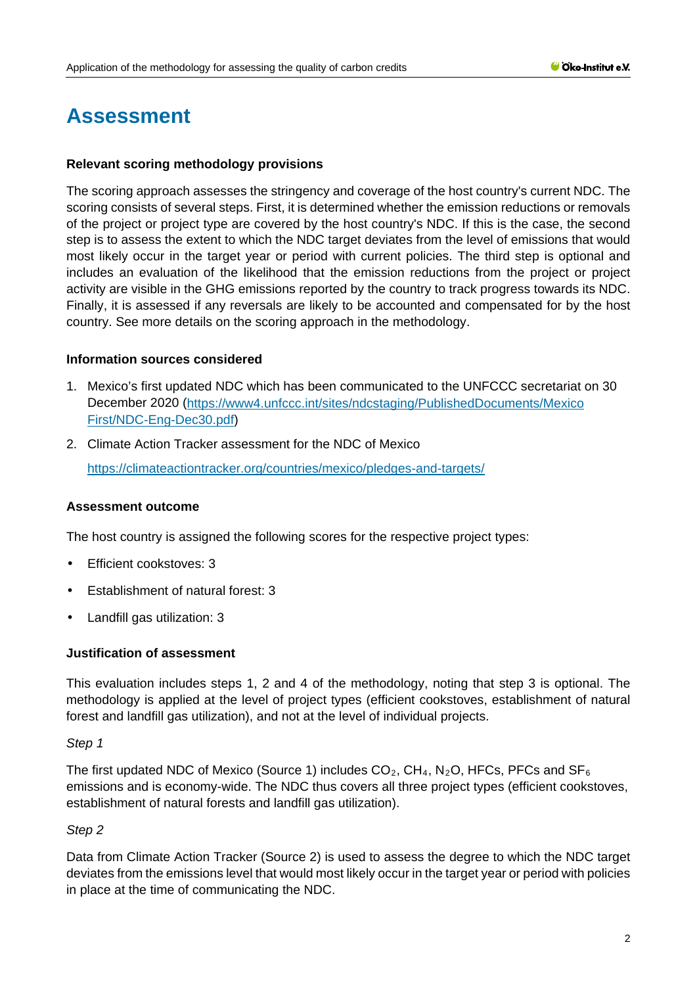# **Assessment**

### **Relevant scoring methodology provisions**

The scoring approach assesses the stringency and coverage of the host country's current NDC. The scoring consists of several steps. First, it is determined whether the emission reductions or removals of the project or project type are covered by the host country's NDC. If this is the case, the second step is to assess the extent to which the NDC target deviates from the level of emissions that would most likely occur in the target year or period with current policies. The third step is optional and includes an evaluation of the likelihood that the emission reductions from the project or project activity are visible in the GHG emissions reported by the country to track progress towards its NDC. Finally, it is assessed if any reversals are likely to be accounted and compensated for by the host country. See more details on the scoring approach in the methodology.

### **Information sources considered**

- 1. Mexico's first updated NDC which has been communicated to the UNFCCC secretariat on 30 December 2020 [\(https://www4.unfccc.int/sites/ndcstaging/PublishedDocuments/Mexico](https://www4.unfccc.int/sites/ndcstaging/PublishedDocuments/Mexico%20First/NDC-Eng-Dec30.pdf)  [First/NDC-Eng-Dec30.pdf\)](https://www4.unfccc.int/sites/ndcstaging/PublishedDocuments/Mexico%20First/NDC-Eng-Dec30.pdf)
- 2. Climate Action Tracker assessment for the NDC of Mexico <https://climateactiontracker.org/countries/mexico/pledges-and-targets/>

### **Assessment outcome**

The host country is assigned the following scores for the respective project types:

- Efficient cookstoves: 3
- Establishment of natural forest: 3
- Landfill gas utilization: 3

### **Justification of assessment**

This evaluation includes steps 1, 2 and 4 of the methodology, noting that step 3 is optional. The methodology is applied at the level of project types (efficient cookstoves, establishment of natural forest and landfill gas utilization), and not at the level of individual projects.

### *Step 1*

The first updated NDC of Mexico (Source 1) includes  $CO_2$ , CH<sub>4</sub>, N<sub>2</sub>O, HFCs, PFCs and SF<sub>6</sub> emissions and is economy-wide. The NDC thus covers all three project types (efficient cookstoves, establishment of natural forests and landfill gas utilization).

### *Step 2*

Data from Climate Action Tracker (Source 2) is used to assess the degree to which the NDC target deviates from the emissions level that would most likely occur in the target year or period with policies in place at the time of communicating the NDC.